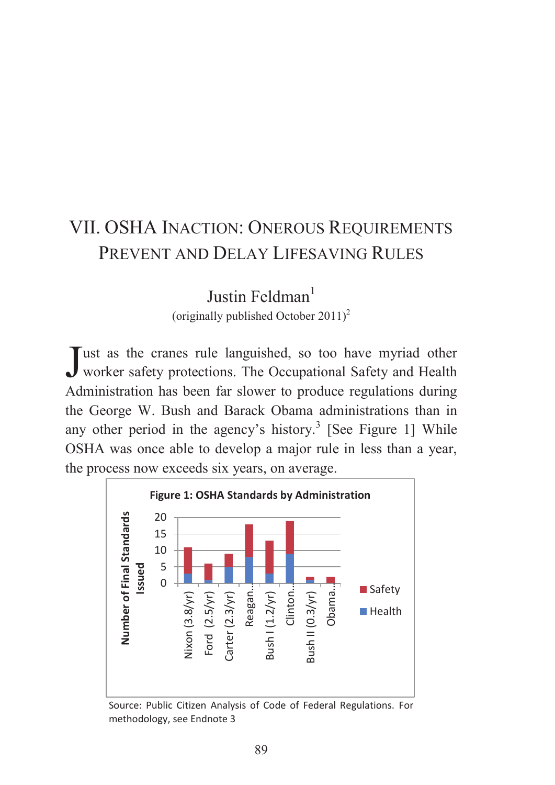# VII. OSHA INACTION: ONEROUS REQUIREMENTS PREVENT AND DELAY LIFESAVING RULES

Iustin Feldman<sup>1</sup>

(originally published October  $2011$ )<sup>2</sup>

Tust as the cranes rule languished, so too have myriad other Just as the cranes rule languished, so too have myriad other worker safety protections. The Occupational Safety and Health Administration has been far slower to produce regulations during the George W. Bush and Barack Obama administrations than in any other period in the agency's history.<sup>3</sup> [See Figure 1] While OSHA was once able to develop a major rule in less than a year, the process now exceeds six years, on average.



Source: Public Citizen Analysis of Code of Federal Regulations. For methodology, see Endnote 3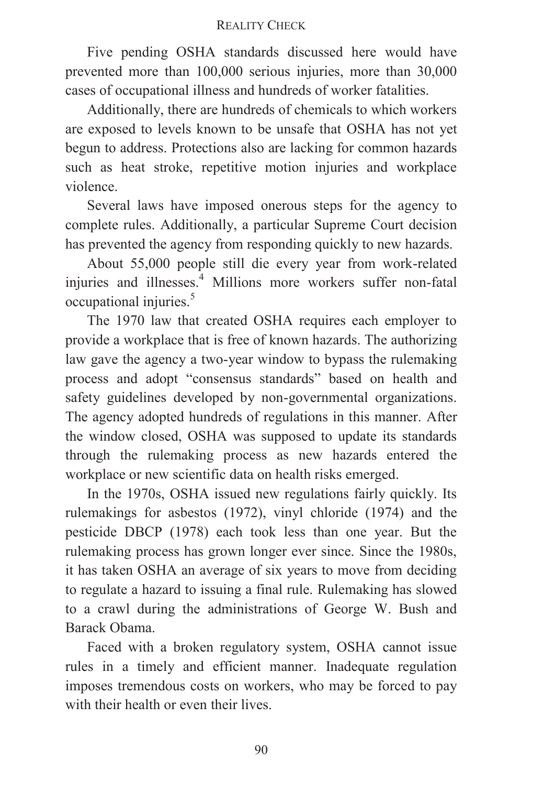Five pending OSHA standards discussed here would have prevented more than 100,000 serious injuries, more than 30,000 cases of occupational illness and hundreds of worker fatalities.

Additionally, there are hundreds of chemicals to which workers are exposed to levels known to be unsafe that OSHA has not yet begun to address. Protections also are lacking for common hazards such as heat stroke, repetitive motion injuries and workplace violence.

Several laws have imposed onerous steps for the agency to complete rules. Additionally, a particular Supreme Court decision has prevented the agency from responding quickly to new hazards.

About 55,000 people still die every year from work-related injuries and illnesses.<sup>4</sup> Millions more workers suffer non-fatal occupational injuries.<sup>5</sup>

The 1970 law that created OSHA requires each employer to provide a workplace that is free of known hazards. The authorizing law gave the agency a two-year window to bypass the rulemaking process and adopt "consensus standards" based on health and safety guidelines developed by non-governmental organizations. The agency adopted hundreds of regulations in this manner. After the window closed, OSHA was supposed to update its standards through the rulemaking process as new hazards entered the workplace or new scientific data on health risks emerged.

In the 1970s, OSHA issued new regulations fairly quickly. Its rulemakings for asbestos (1972), vinyl chloride (1974) and the pesticide DBCP (1978) each took less than one year. But the rulemaking process has grown longer ever since. Since the 1980s, it has taken OSHA an average of six years to move from deciding to regulate a hazard to issuing a final rule. Rulemaking has slowed to a crawl during the administrations of George W. Bush and Barack Obama.

Faced with a broken regulatory system, OSHA cannot issue rules in a timely and efficient manner. Inadequate regulation imposes tremendous costs on workers, who may be forced to pay with their health or even their lives.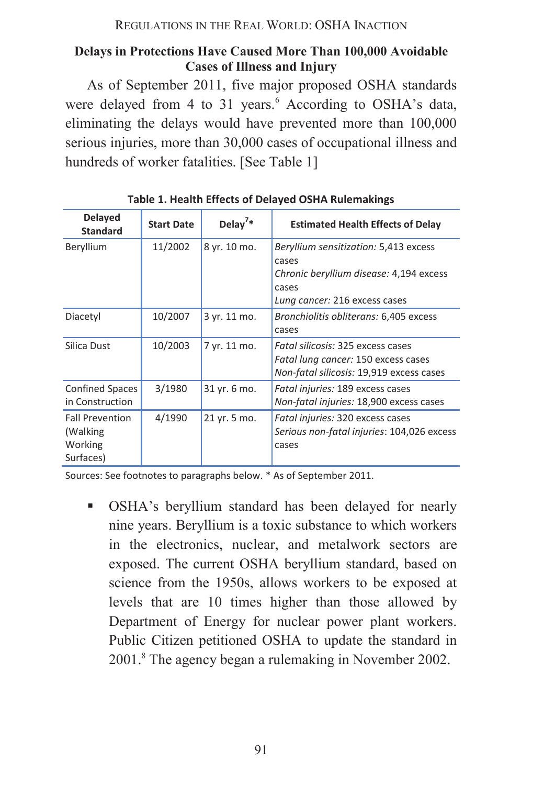REGULATIONS IN THE REAL WORLD: OSHA INACTION

# **Delays in Protections Have Caused More Than 100,000 Avoidable Cases of Illness and Injury**

As of September 2011, five major proposed OSHA standards were delayed from 4 to 31 years.<sup>6</sup> According to OSHA's data, eliminating the delays would have prevented more than 100,000 serious injuries, more than 30,000 cases of occupational illness and hundreds of worker fatalities. [See Table 1]

| <b>Delayed</b><br><b>Standard</b>                          | <b>Start Date</b> | Delay <sup>7</sup> * | <b>Estimated Health Effects of Delay</b>                                                                                            |
|------------------------------------------------------------|-------------------|----------------------|-------------------------------------------------------------------------------------------------------------------------------------|
| Beryllium                                                  | 11/2002           | 8 yr. 10 mo.         | Beryllium sensitization: 5,413 excess<br>cases<br>Chronic beryllium disease: 4,194 excess<br>cases<br>Lung cancer: 216 excess cases |
| Diacetyl                                                   | 10/2007           | 3 yr. 11 mo.         | Bronchiolitis obliterans: 6,405 excess<br>cases                                                                                     |
| Silica Dust                                                | 10/2003           | 7 yr. 11 mo.         | Fatal silicosis: 325 excess cases<br>Fatal lung cancer: 150 excess cases<br>Non-fatal silicosis: 19,919 excess cases                |
| <b>Confined Spaces</b><br>in Construction                  | 3/1980            | 31 yr. 6 mo.         | Fatal injuries: 189 excess cases<br>Non-fatal injuries: 18,900 excess cases                                                         |
| <b>Fall Prevention</b><br>(Walking<br>Working<br>Surfaces) | 4/1990            | 21 yr. 5 mo.         | Fatal injuries: 320 excess cases<br>Serious non-fatal injuries: 104,026 excess<br>cases                                             |

**Table 1. Health Effects of Delayed OSHA Rulemakings** 

Sources: See footnotes to paragraphs below. \* As of September 2011.

ß OSHA's beryllium standard has been delayed for nearly nine years. Beryllium is a toxic substance to which workers in the electronics, nuclear, and metalwork sectors are exposed. The current OSHA beryllium standard, based on science from the 1950s, allows workers to be exposed at levels that are 10 times higher than those allowed by Department of Energy for nuclear power plant workers. Public Citizen petitioned OSHA to update the standard in 2001.<sup>8</sup> The agency began a rulemaking in November 2002.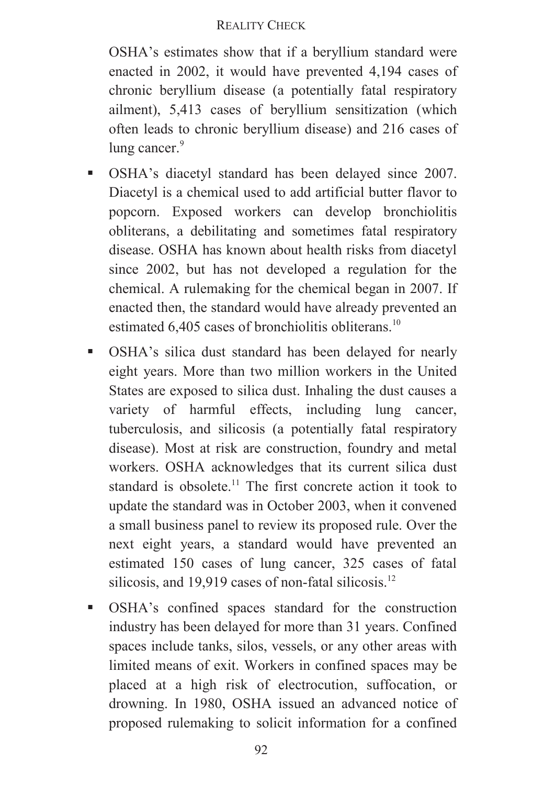OSHA's estimates show that if a beryllium standard were enacted in 2002, it would have prevented 4,194 cases of chronic beryllium disease (a potentially fatal respiratory ailment), 5,413 cases of beryllium sensitization (which often leads to chronic beryllium disease) and 216 cases of lung cancer.<sup>9</sup>

- ß OSHA's diacetyl standard has been delayed since 2007. Diacetyl is a chemical used to add artificial butter flavor to popcorn. Exposed workers can develop bronchiolitis obliterans, a debilitating and sometimes fatal respiratory disease. OSHA has known about health risks from diacetyl since 2002, but has not developed a regulation for the chemical. A rulemaking for the chemical began in 2007. If enacted then, the standard would have already prevented an estimated 6,405 cases of bronchiolitis obliterans.<sup>10</sup>
- **BEDA:** OSHA's silica dust standard has been delayed for nearly eight years. More than two million workers in the United States are exposed to silica dust. Inhaling the dust causes a variety of harmful effects, including lung cancer, tuberculosis, and silicosis (a potentially fatal respiratory disease). Most at risk are construction, foundry and metal workers. OSHA acknowledges that its current silica dust standard is obsolete.<sup>11</sup> The first concrete action it took to update the standard was in October 2003, when it convened a small business panel to review its proposed rule. Over the next eight years, a standard would have prevented an estimated 150 cases of lung cancer, 325 cases of fatal silicosis, and 19,919 cases of non-fatal silicosis.<sup>12</sup>
- ß OSHA's confined spaces standard for the construction industry has been delayed for more than 31 years. Confined spaces include tanks, silos, vessels, or any other areas with limited means of exit. Workers in confined spaces may be placed at a high risk of electrocution, suffocation, or drowning. In 1980, OSHA issued an advanced notice of proposed rulemaking to solicit information for a confined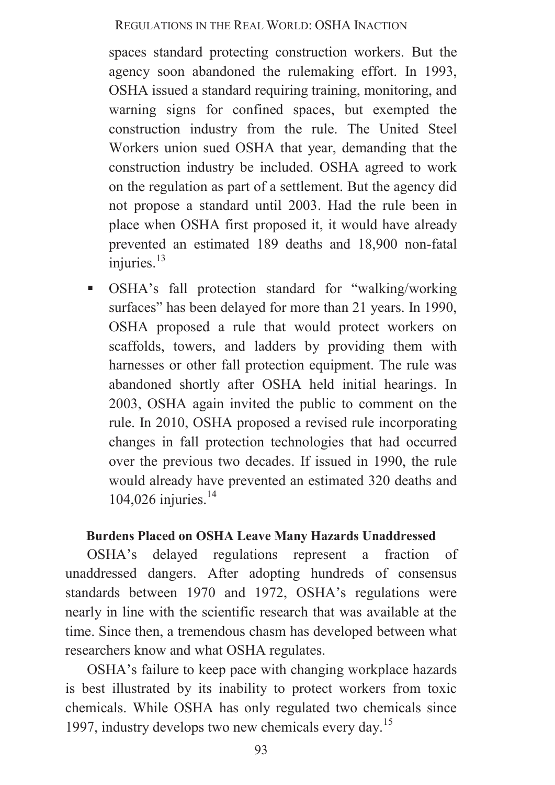#### REGULATIONS IN THE REAL WORLD: OSHA INACTION

spaces standard protecting construction workers. But the agency soon abandoned the rulemaking effort. In 1993, OSHA issued a standard requiring training, monitoring, and warning signs for confined spaces, but exempted the construction industry from the rule. The United Steel Workers union sued OSHA that year, demanding that the construction industry be included. OSHA agreed to work on the regulation as part of a settlement. But the agency did not propose a standard until 2003. Had the rule been in place when OSHA first proposed it, it would have already prevented an estimated 189 deaths and 18,900 non-fatal injuries. $13$ 

ß OSHA's fall protection standard for "walking/working surfaces" has been delayed for more than 21 years. In 1990, OSHA proposed a rule that would protect workers on scaffolds, towers, and ladders by providing them with harnesses or other fall protection equipment. The rule was abandoned shortly after OSHA held initial hearings. In 2003, OSHA again invited the public to comment on the rule. In 2010, OSHA proposed a revised rule incorporating changes in fall protection technologies that had occurred over the previous two decades. If issued in 1990, the rule would already have prevented an estimated 320 deaths and 104,026 injuries.<sup>14</sup>

### **Burdens Placed on OSHA Leave Many Hazards Unaddressed**

OSHA's delayed regulations represent a fraction of unaddressed dangers. After adopting hundreds of consensus standards between 1970 and 1972, OSHA's regulations were nearly in line with the scientific research that was available at the time. Since then, a tremendous chasm has developed between what researchers know and what OSHA regulates.

OSHA's failure to keep pace with changing workplace hazards is best illustrated by its inability to protect workers from toxic chemicals. While OSHA has only regulated two chemicals since 1997, industry develops two new chemicals every day.<sup>15</sup>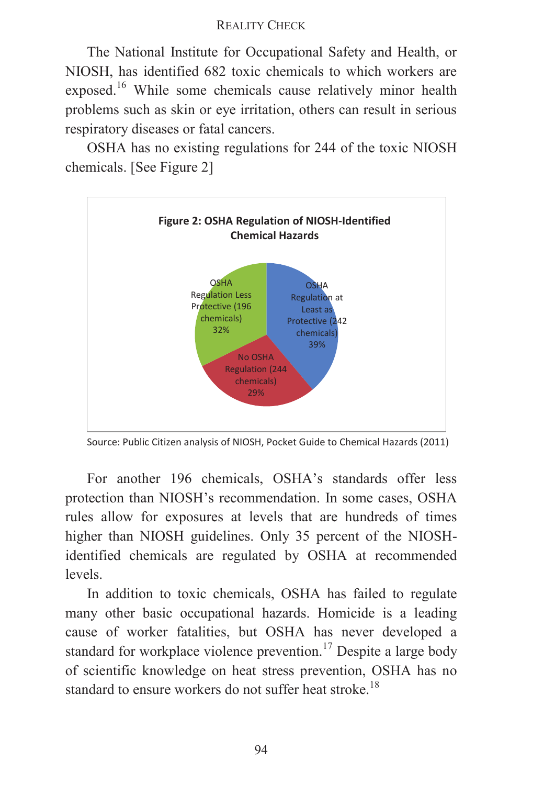The National Institute for Occupational Safety and Health, or NIOSH, has identified 682 toxic chemicals to which workers are exposed.<sup>16</sup> While some chemicals cause relatively minor health problems such as skin or eye irritation, others can result in serious respiratory diseases or fatal cancers.

OSHA has no existing regulations for 244 of the toxic NIOSH chemicals. [See Figure 2]



Source: Public Citizen analysis of NIOSH, Pocket Guide to Chemical Hazards (2011)

For another 196 chemicals, OSHA's standards offer less protection than NIOSH's recommendation. In some cases, OSHA rules allow for exposures at levels that are hundreds of times higher than NIOSH guidelines. Only 35 percent of the NIOSHidentified chemicals are regulated by OSHA at recommended levels.

In addition to toxic chemicals, OSHA has failed to regulate many other basic occupational hazards. Homicide is a leading cause of worker fatalities, but OSHA has never developed a standard for workplace violence prevention.<sup>17</sup> Despite a large body of scientific knowledge on heat stress prevention, OSHA has no standard to ensure workers do not suffer heat stroke.<sup>18</sup>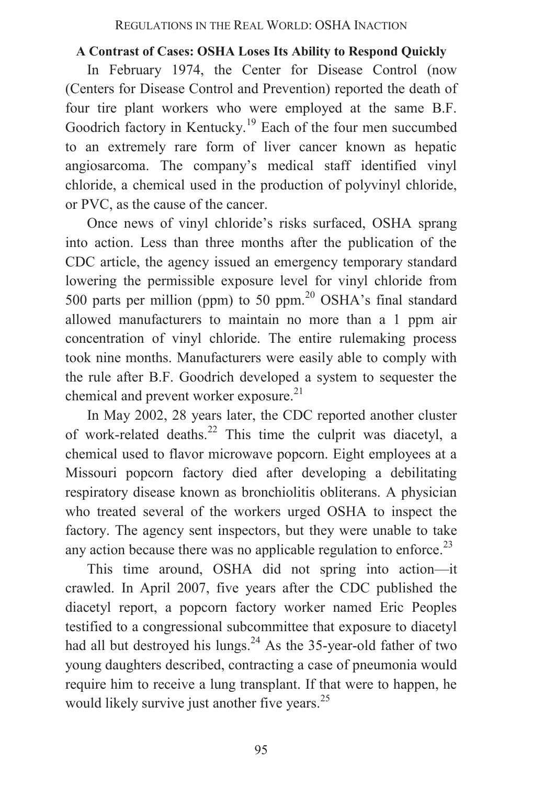# **A Contrast of Cases: OSHA Loses Its Ability to Respond Quickly**

In February 1974, the Center for Disease Control (now (Centers for Disease Control and Prevention) reported the death of four tire plant workers who were employed at the same B.F. Goodrich factory in Kentucky.<sup>19</sup> Each of the four men succumbed to an extremely rare form of liver cancer known as hepatic angiosarcoma. The company's medical staff identified vinyl chloride, a chemical used in the production of polyvinyl chloride, or PVC, as the cause of the cancer.

Once news of vinyl chloride's risks surfaced, OSHA sprang into action. Less than three months after the publication of the CDC article, the agency issued an emergency temporary standard lowering the permissible exposure level for vinyl chloride from 500 parts per million (ppm) to 50 ppm. $20$  OSHA's final standard allowed manufacturers to maintain no more than a 1 ppm air concentration of vinyl chloride. The entire rulemaking process took nine months. Manufacturers were easily able to comply with the rule after B.F. Goodrich developed a system to sequester the chemical and prevent worker exposure.<sup>21</sup>

In May 2002, 28 years later, the CDC reported another cluster of work-related deaths. $22$  This time the culprit was diacetyl, a chemical used to flavor microwave popcorn. Eight employees at a Missouri popcorn factory died after developing a debilitating respiratory disease known as bronchiolitis obliterans. A physician who treated several of the workers urged OSHA to inspect the factory. The agency sent inspectors, but they were unable to take any action because there was no applicable regulation to enforce.<sup>23</sup>

This time around, OSHA did not spring into action—it crawled. In April 2007, five years after the CDC published the diacetyl report, a popcorn factory worker named Eric Peoples testified to a congressional subcommittee that exposure to diacetyl had all but destroyed his lungs.<sup>24</sup> As the 35-year-old father of two young daughters described, contracting a case of pneumonia would require him to receive a lung transplant. If that were to happen, he would likely survive just another five years.<sup>25</sup>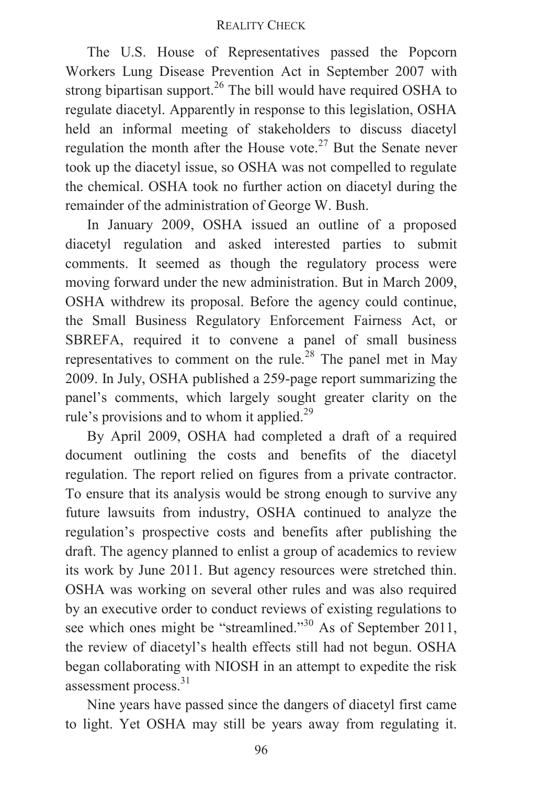The U.S. House of Representatives passed the Popcorn Workers Lung Disease Prevention Act in September 2007 with strong bipartisan support.<sup>26</sup> The bill would have required OSHA to regulate diacetyl. Apparently in response to this legislation, OSHA held an informal meeting of stakeholders to discuss diacetyl regulation the month after the House vote.<sup>27</sup> But the Senate never took up the diacetyl issue, so OSHA was not compelled to regulate the chemical. OSHA took no further action on diacetyl during the remainder of the administration of George W. Bush.

In January 2009, OSHA issued an outline of a proposed diacetyl regulation and asked interested parties to submit comments. It seemed as though the regulatory process were moving forward under the new administration. But in March 2009, OSHA withdrew its proposal. Before the agency could continue, the Small Business Regulatory Enforcement Fairness Act, or SBREFA, required it to convene a panel of small business representatives to comment on the rule.<sup>28</sup> The panel met in May 2009. In July, OSHA published a 259-page report summarizing the panel's comments, which largely sought greater clarity on the rule's provisions and to whom it applied.<sup>29</sup>

By April 2009, OSHA had completed a draft of a required document outlining the costs and benefits of the diacetyl regulation. The report relied on figures from a private contractor. To ensure that its analysis would be strong enough to survive any future lawsuits from industry, OSHA continued to analyze the regulation's prospective costs and benefits after publishing the draft. The agency planned to enlist a group of academics to review its work by June 2011. But agency resources were stretched thin. OSHA was working on several other rules and was also required by an executive order to conduct reviews of existing regulations to see which ones might be "streamlined."<sup>30</sup> As of September 2011, the review of diacetyl's health effects still had not begun. OSHA began collaborating with NIOSH in an attempt to expedite the risk assessment process.<sup>31</sup>

Nine years have passed since the dangers of diacetyl first came to light. Yet OSHA may still be years away from regulating it.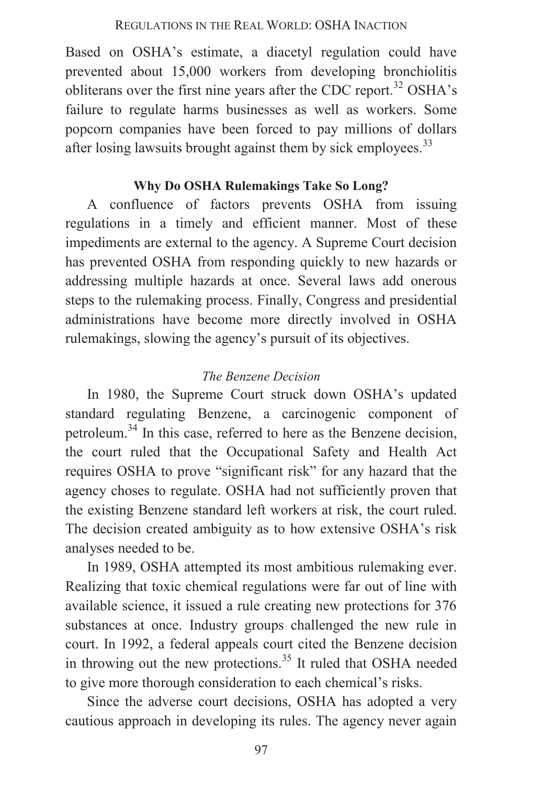Based on OSHA's estimate, a diacetyl regulation could have prevented about 15,000 workers from developing bronchiolitis obliterans over the first nine years after the CDC report.<sup>32</sup> OSHA's failure to regulate harms businesses as well as workers. Some popcorn companies have been forced to pay millions of dollars after losing lawsuits brought against them by sick employees.<sup>33</sup>

# **Why Do OSHA Rulemakings Take So Long?**

A confluence of factors prevents OSHA from issuing regulations in a timely and efficient manner. Most of these impediments are external to the agency. A Supreme Court decision has prevented OSHA from responding quickly to new hazards or addressing multiple hazards at once. Several laws add onerous steps to the rulemaking process. Finally, Congress and presidential administrations have become more directly involved in OSHA rulemakings, slowing the agency's pursuit of its objectives.

# *The Benzene Decision*

In 1980, the Supreme Court struck down OSHA's updated standard regulating Benzene, a carcinogenic component of petroleum.<sup>34</sup> In this case, referred to here as the Benzene decision, the court ruled that the Occupational Safety and Health Act requires OSHA to prove "significant risk" for any hazard that the agency choses to regulate. OSHA had not sufficiently proven that the existing Benzene standard left workers at risk, the court ruled. The decision created ambiguity as to how extensive OSHA's risk analyses needed to be.

In 1989, OSHA attempted its most ambitious rulemaking ever. Realizing that toxic chemical regulations were far out of line with available science, it issued a rule creating new protections for 376 substances at once. Industry groups challenged the new rule in court. In 1992, a federal appeals court cited the Benzene decision in throwing out the new protections.<sup>35</sup> It ruled that OSHA needed to give more thorough consideration to each chemical's risks.

Since the adverse court decisions, OSHA has adopted a very cautious approach in developing its rules. The agency never again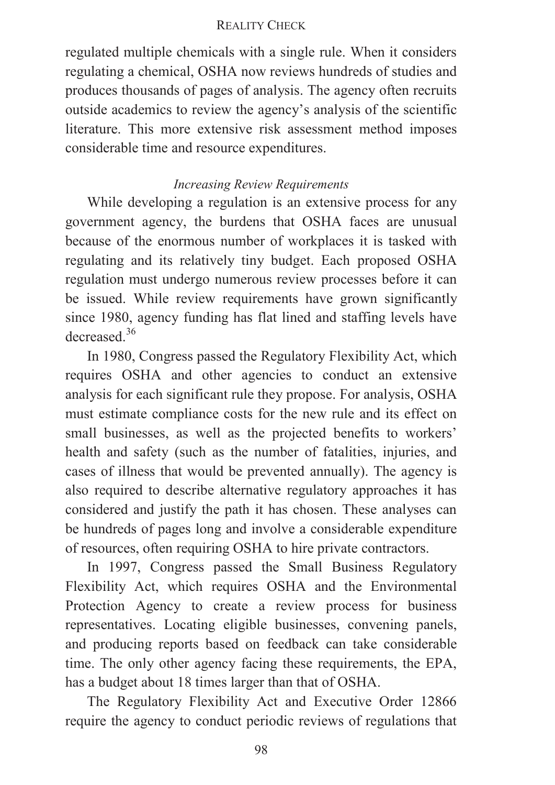regulated multiple chemicals with a single rule. When it considers regulating a chemical, OSHA now reviews hundreds of studies and produces thousands of pages of analysis. The agency often recruits outside academics to review the agency's analysis of the scientific literature. This more extensive risk assessment method imposes considerable time and resource expenditures.

# *Increasing Review Requirements*

While developing a regulation is an extensive process for any government agency, the burdens that OSHA faces are unusual because of the enormous number of workplaces it is tasked with regulating and its relatively tiny budget. Each proposed OSHA regulation must undergo numerous review processes before it can be issued. While review requirements have grown significantly since 1980, agency funding has flat lined and staffing levels have decreased<sup>36</sup>

In 1980, Congress passed the Regulatory Flexibility Act, which requires OSHA and other agencies to conduct an extensive analysis for each significant rule they propose. For analysis, OSHA must estimate compliance costs for the new rule and its effect on small businesses, as well as the projected benefits to workers' health and safety (such as the number of fatalities, injuries, and cases of illness that would be prevented annually). The agency is also required to describe alternative regulatory approaches it has considered and justify the path it has chosen. These analyses can be hundreds of pages long and involve a considerable expenditure of resources, often requiring OSHA to hire private contractors.

In 1997, Congress passed the Small Business Regulatory Flexibility Act, which requires OSHA and the Environmental Protection Agency to create a review process for business representatives. Locating eligible businesses, convening panels, and producing reports based on feedback can take considerable time. The only other agency facing these requirements, the EPA, has a budget about 18 times larger than that of OSHA.

The Regulatory Flexibility Act and Executive Order 12866 require the agency to conduct periodic reviews of regulations that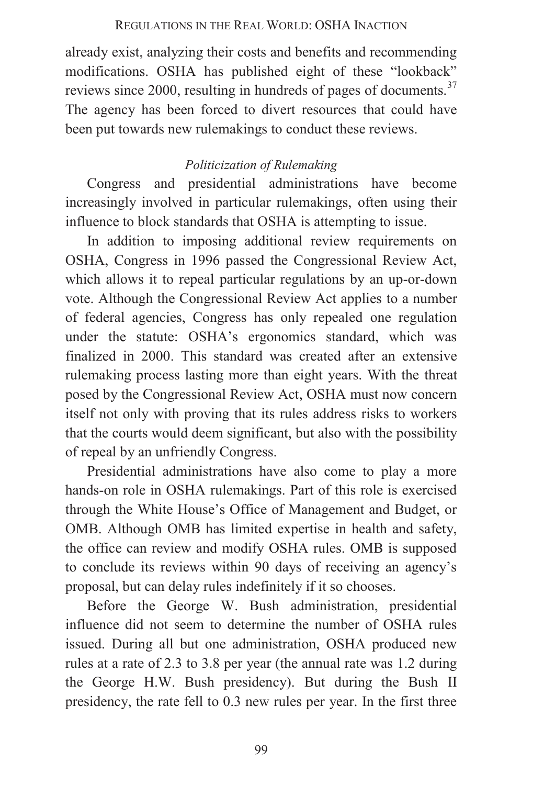### REGULATIONS IN THE REAL WORLD: OSHA INACTION

already exist, analyzing their costs and benefits and recommending modifications. OSHA has published eight of these "lookback" reviews since 2000, resulting in hundreds of pages of documents.<sup>37</sup> The agency has been forced to divert resources that could have been put towards new rulemakings to conduct these reviews.

# *Politicization of Rulemaking*

Congress and presidential administrations have become increasingly involved in particular rulemakings, often using their influence to block standards that OSHA is attempting to issue.

In addition to imposing additional review requirements on OSHA, Congress in 1996 passed the Congressional Review Act, which allows it to repeal particular regulations by an up-or-down vote. Although the Congressional Review Act applies to a number of federal agencies, Congress has only repealed one regulation under the statute: OSHA's ergonomics standard, which was finalized in 2000. This standard was created after an extensive rulemaking process lasting more than eight years. With the threat posed by the Congressional Review Act, OSHA must now concern itself not only with proving that its rules address risks to workers that the courts would deem significant, but also with the possibility of repeal by an unfriendly Congress.

Presidential administrations have also come to play a more hands-on role in OSHA rulemakings. Part of this role is exercised through the White House's Office of Management and Budget, or OMB. Although OMB has limited expertise in health and safety, the office can review and modify OSHA rules. OMB is supposed to conclude its reviews within 90 days of receiving an agency's proposal, but can delay rules indefinitely if it so chooses.

Before the George W. Bush administration, presidential influence did not seem to determine the number of OSHA rules issued. During all but one administration, OSHA produced new rules at a rate of 2.3 to 3.8 per year (the annual rate was 1.2 during the George H.W. Bush presidency). But during the Bush II presidency, the rate fell to 0.3 new rules per year. In the first three